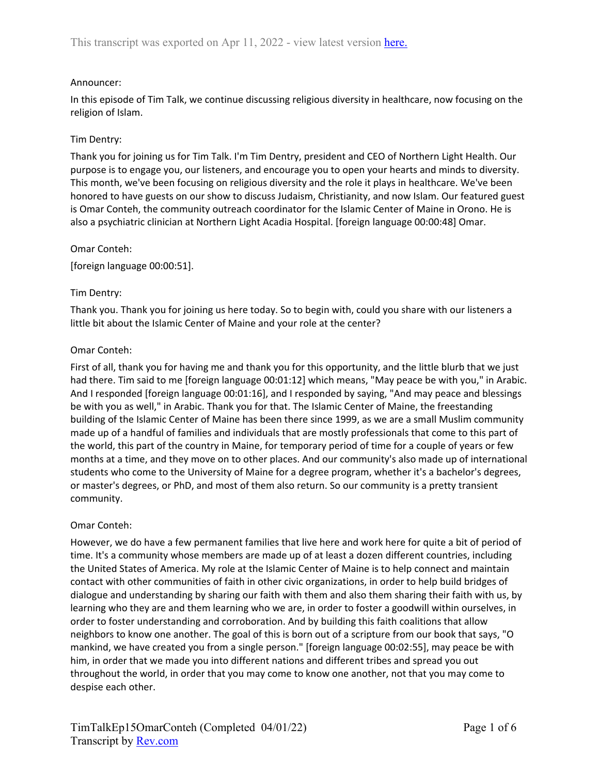# Announcer:

In this episode of Tim Talk, we continue discussing religious diversity in healthcare, now focusing on the religion of Islam.

# Tim Dentry:

Thank you for joining us for Tim Talk. I'm Tim Dentry, president and CEO of Northern Light Health. Our purpose is to engage you, our listeners, and encourage you to open your hearts and minds to diversity. This month, we've been focusing on religious diversity and the role it plays in healthcare. We've been honored to have guests on our show to discuss Judaism, Christianity, and now Islam. Our featured guest is Omar Conteh, the community outreach coordinator for the Islamic Center of Maine in Orono. He is also a psychiatric clinician at Northern Light Acadia Hospital. [foreign language 00:00:48] Omar.

### Omar Conteh:

[foreign language 00:00:51].

## Tim Dentry:

Thank you. Thank you for joining us here today. So to begin with, could you share with our listeners a little bit about the Islamic Center of Maine and your role at the center?

## Omar Conteh:

First of all, thank you for having me and thank you for this opportunity, and the little blurb that we just had there. Tim said to me [foreign language 00:01:12] which means, "May peace be with you," in Arabic. And I responded [foreign language 00:01:16], and I responded by saying, "And may peace and blessings be with you as well," in Arabic. Thank you for that. The Islamic Center of Maine, the freestanding building of the Islamic Center of Maine has been there since 1999, as we are a small Muslim community made up of a handful of families and individuals that are mostly professionals that come to this part of the world, this part of the country in Maine, for temporary period of time for a couple of years or few months at a time, and they move on to other places. And our community's also made up of international students who come to the University of Maine for a degree program, whether it's a bachelor's degrees, or master's degrees, or PhD, and most of them also return. So our community is a pretty transient community.

### Omar Conteh:

However, we do have a few permanent families that live here and work here for quite a bit of period of time. It's a community whose members are made up of at least a dozen different countries, including the United States of America. My role at the Islamic Center of Maine is to help connect and maintain contact with other communities of faith in other civic organizations, in order to help build bridges of dialogue and understanding by sharing our faith with them and also them sharing their faith with us, by learning who they are and them learning who we are, in order to foster a goodwill within ourselves, in order to foster understanding and corroboration. And by building this faith coalitions that allow neighbors to know one another. The goal of this is born out of a scripture from our book that says, "O mankind, we have created you from a single person." [foreign language 00:02:55], may peace be with him, in order that we made you into different nations and different tribes and spread you out throughout the world, in order that you may come to know one another, not that you may come to despise each other.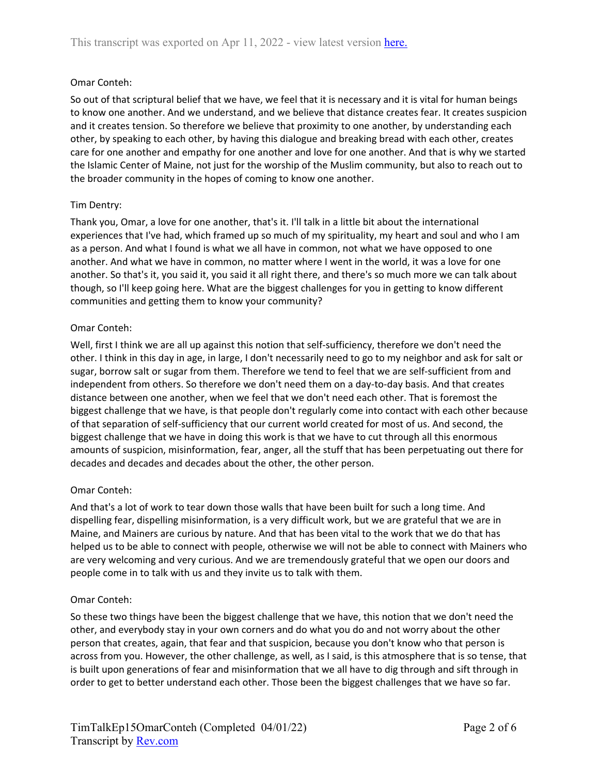## Omar Conteh:

So out of that scriptural belief that we have, we feel that it is necessary and it is vital for human beings to know one another. And we understand, and we believe that distance creates fear. It creates suspicion and it creates tension. So therefore we believe that proximity to one another, by understanding each other, by speaking to each other, by having this dialogue and breaking bread with each other, creates care for one another and empathy for one another and love for one another. And that is why we started the Islamic Center of Maine, not just for the worship of the Muslim community, but also to reach out to the broader community in the hopes of coming to know one another.

## Tim Dentry:

Thank you, Omar, a love for one another, that's it. I'll talk in a little bit about the international experiences that I've had, which framed up so much of my spirituality, my heart and soul and who I am as a person. And what I found is what we all have in common, not what we have opposed to one another. And what we have in common, no matter where I went in the world, it was a love for one another. So that's it, you said it, you said it all right there, and there's so much more we can talk about though, so I'll keep going here. What are the biggest challenges for you in getting to know different communities and getting them to know your community?

### Omar Conteh:

Well, first I think we are all up against this notion that self-sufficiency, therefore we don't need the other. I think in this day in age, in large, I don't necessarily need to go to my neighbor and ask for salt or sugar, borrow salt or sugar from them. Therefore we tend to feel that we are self-sufficient from and independent from others. So therefore we don't need them on a day-to-day basis. And that creates distance between one another, when we feel that we don't need each other. That is foremost the biggest challenge that we have, is that people don't regularly come into contact with each other because of that separation of self-sufficiency that our current world created for most of us. And second, the biggest challenge that we have in doing this work is that we have to cut through all this enormous amounts of suspicion, misinformation, fear, anger, all the stuff that has been perpetuating out there for decades and decades and decades about the other, the other person.

### Omar Conteh:

And that's a lot of work to tear down those walls that have been built for such a long time. And dispelling fear, dispelling misinformation, is a very difficult work, but we are grateful that we are in Maine, and Mainers are curious by nature. And that has been vital to the work that we do that has helped us to be able to connect with people, otherwise we will not be able to connect with Mainers who are very welcoming and very curious. And we are tremendously grateful that we open our doors and people come in to talk with us and they invite us to talk with them.

### Omar Conteh:

So these two things have been the biggest challenge that we have, this notion that we don't need the other, and everybody stay in your own corners and do what you do and not worry about the other person that creates, again, that fear and that suspicion, because you don't know who that person is across from you. However, the other challenge, as well, as I said, is this atmosphere that is so tense, that is built upon generations of fear and misinformation that we all have to dig through and sift through in order to get to better understand each other. Those been the biggest challenges that we have so far.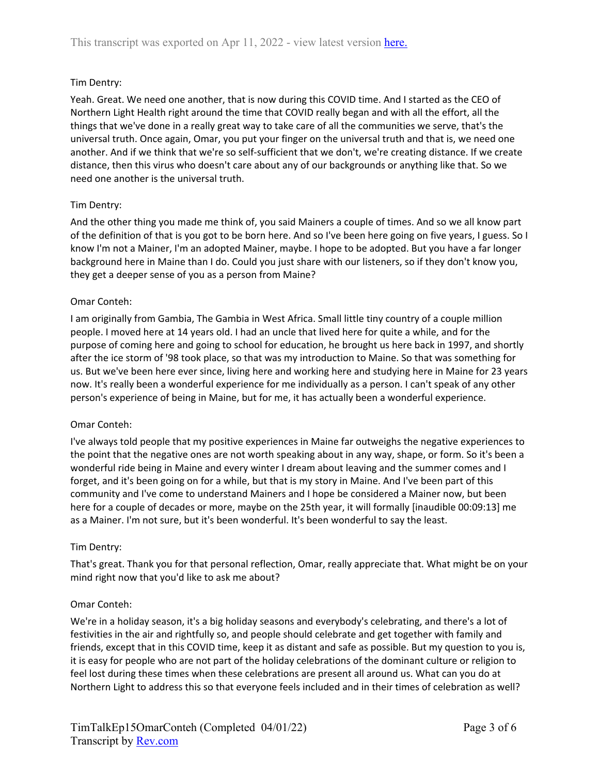## Tim Dentry:

Yeah. Great. We need one another, that is now during this COVID time. And I started as the CEO of Northern Light Health right around the time that COVID really began and with all the effort, all the things that we've done in a really great way to take care of all the communities we serve, that's the universal truth. Once again, Omar, you put your finger on the universal truth and that is, we need one another. And if we think that we're so self-sufficient that we don't, we're creating distance. If we create distance, then this virus who doesn't care about any of our backgrounds or anything like that. So we need one another is the universal truth.

## Tim Dentry:

And the other thing you made me think of, you said Mainers a couple of times. And so we all know part of the definition of that is you got to be born here. And so I've been here going on five years, I guess. So I know I'm not a Mainer, I'm an adopted Mainer, maybe. I hope to be adopted. But you have a far longer background here in Maine than I do. Could you just share with our listeners, so if they don't know you, they get a deeper sense of you as a person from Maine?

### Omar Conteh:

I am originally from Gambia, The Gambia in West Africa. Small little tiny country of a couple million people. I moved here at 14 years old. I had an uncle that lived here for quite a while, and for the purpose of coming here and going to school for education, he brought us here back in 1997, and shortly after the ice storm of '98 took place, so that was my introduction to Maine. So that was something for us. But we've been here ever since, living here and working here and studying here in Maine for 23 years now. It's really been a wonderful experience for me individually as a person. I can't speak of any other person's experience of being in Maine, but for me, it has actually been a wonderful experience.

### Omar Conteh:

I've always told people that my positive experiences in Maine far outweighs the negative experiences to the point that the negative ones are not worth speaking about in any way, shape, or form. So it's been a wonderful ride being in Maine and every winter I dream about leaving and the summer comes and I forget, and it's been going on for a while, but that is my story in Maine. And I've been part of this community and I've come to understand Mainers and I hope be considered a Mainer now, but been here for a couple of decades or more, maybe on the 25th year, it will formally [inaudible 00:09:13] me as a Mainer. I'm not sure, but it's been wonderful. It's been wonderful to say the least.

### Tim Dentry:

That's great. Thank you for that personal reflection, Omar, really appreciate that. What might be on your mind right now that you'd like to ask me about?

### Omar Conteh:

We're in a holiday season, it's a big holiday seasons and everybody's celebrating, and there's a lot of festivities in the air and rightfully so, and people should celebrate and get together with family and friends, except that in this COVID time, keep it as distant and safe as possible. But my question to you is, it is easy for people who are not part of the holiday celebrations of the dominant culture or religion to feel lost during these times when these celebrations are present all around us. What can you do at Northern Light to address this so that everyone feels included and in their times of celebration as well?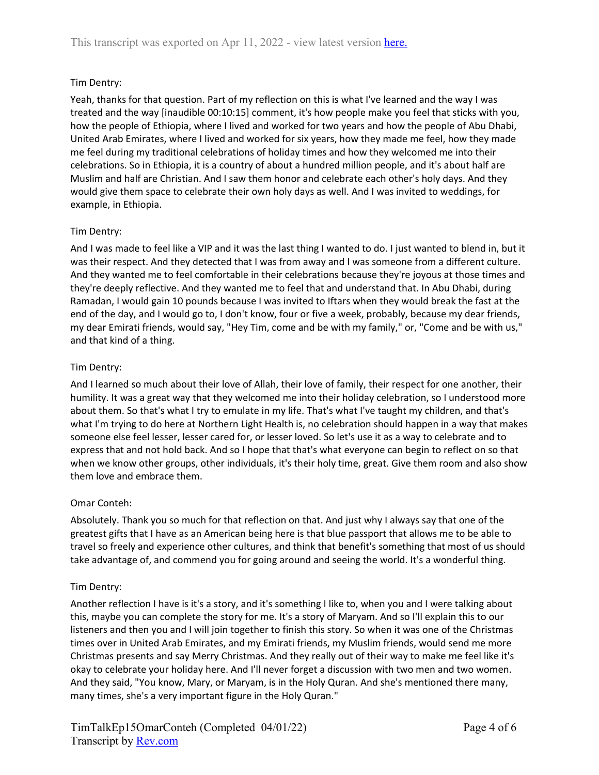# Tim Dentry:

Yeah, thanks for that question. Part of my reflection on this is what I've learned and the way I was treated and the way [inaudible 00:10:15] comment, it's how people make you feel that sticks with you, how the people of Ethiopia, where I lived and worked for two years and how the people of Abu Dhabi, United Arab Emirates, where I lived and worked for six years, how they made me feel, how they made me feel during my traditional celebrations of holiday times and how they welcomed me into their celebrations. So in Ethiopia, it is a country of about a hundred million people, and it's about half are Muslim and half are Christian. And I saw them honor and celebrate each other's holy days. And they would give them space to celebrate their own holy days as well. And I was invited to weddings, for example, in Ethiopia.

# Tim Dentry:

And I was made to feel like a VIP and it was the last thing I wanted to do. I just wanted to blend in, but it was their respect. And they detected that I was from away and I was someone from a different culture. And they wanted me to feel comfortable in their celebrations because they're joyous at those times and they're deeply reflective. And they wanted me to feel that and understand that. In Abu Dhabi, during Ramadan, I would gain 10 pounds because I was invited to Iftars when they would break the fast at the end of the day, and I would go to, I don't know, four or five a week, probably, because my dear friends, my dear Emirati friends, would say, "Hey Tim, come and be with my family," or, "Come and be with us," and that kind of a thing.

# Tim Dentry:

And I learned so much about their love of Allah, their love of family, their respect for one another, their humility. It was a great way that they welcomed me into their holiday celebration, so I understood more about them. So that's what I try to emulate in my life. That's what I've taught my children, and that's what I'm trying to do here at Northern Light Health is, no celebration should happen in a way that makes someone else feel lesser, lesser cared for, or lesser loved. So let's use it as a way to celebrate and to express that and not hold back. And so I hope that that's what everyone can begin to reflect on so that when we know other groups, other individuals, it's their holy time, great. Give them room and also show them love and embrace them.

# Omar Conteh:

Absolutely. Thank you so much for that reflection on that. And just why I always say that one of the greatest gifts that I have as an American being here is that blue passport that allows me to be able to travel so freely and experience other cultures, and think that benefit's something that most of us should take advantage of, and commend you for going around and seeing the world. It's a wonderful thing.

# Tim Dentry:

Another reflection I have is it's a story, and it's something I like to, when you and I were talking about this, maybe you can complete the story for me. It's a story of Maryam. And so I'll explain this to our listeners and then you and I will join together to finish this story. So when it was one of the Christmas times over in United Arab Emirates, and my Emirati friends, my Muslim friends, would send me more Christmas presents and say Merry Christmas. And they really out of their way to make me feel like it's okay to celebrate your holiday here. And I'll never forget a discussion with two men and two women. And they said, "You know, Mary, or Maryam, is in the Holy Quran. And she's mentioned there many, many times, she's a very important figure in the Holy Quran."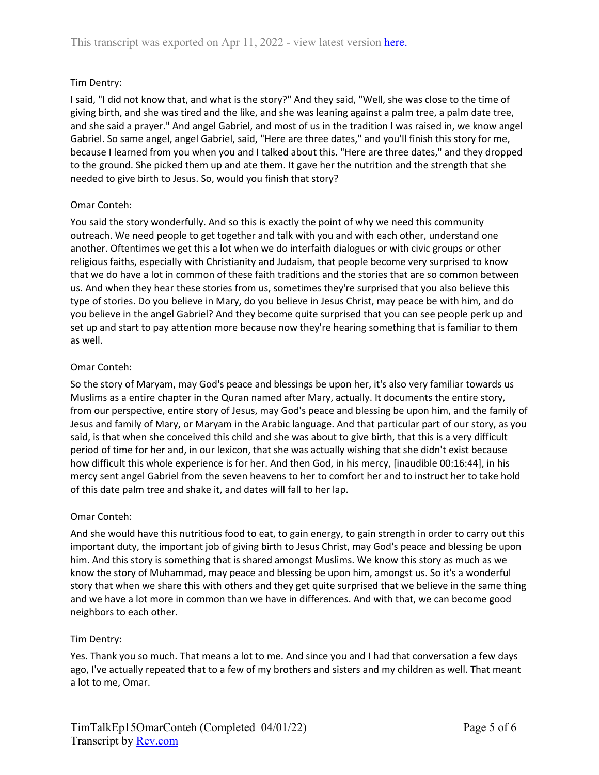# Tim Dentry:

I said, "I did not know that, and what is the story?" And they said, "Well, she was close to the time of giving birth, and she was tired and the like, and she was leaning against a palm tree, a palm date tree, and she said a prayer." And angel Gabriel, and most of us in the tradition I was raised in, we know angel Gabriel. So same angel, angel Gabriel, said, "Here are three dates," and you'll finish this story for me, because I learned from you when you and I talked about this. "Here are three dates," and they dropped to the ground. She picked them up and ate them. It gave her the nutrition and the strength that she needed to give birth to Jesus. So, would you finish that story?

## Omar Conteh:

You said the story wonderfully. And so this is exactly the point of why we need this community outreach. We need people to get together and talk with you and with each other, understand one another. Oftentimes we get this a lot when we do interfaith dialogues or with civic groups or other religious faiths, especially with Christianity and Judaism, that people become very surprised to know that we do have a lot in common of these faith traditions and the stories that are so common between us. And when they hear these stories from us, sometimes they're surprised that you also believe this type of stories. Do you believe in Mary, do you believe in Jesus Christ, may peace be with him, and do you believe in the angel Gabriel? And they become quite surprised that you can see people perk up and set up and start to pay attention more because now they're hearing something that is familiar to them as well.

## Omar Conteh:

So the story of Maryam, may God's peace and blessings be upon her, it's also very familiar towards us Muslims as a entire chapter in the Quran named after Mary, actually. It documents the entire story, from our perspective, entire story of Jesus, may God's peace and blessing be upon him, and the family of Jesus and family of Mary, or Maryam in the Arabic language. And that particular part of our story, as you said, is that when she conceived this child and she was about to give birth, that this is a very difficult period of time for her and, in our lexicon, that she was actually wishing that she didn't exist because how difficult this whole experience is for her. And then God, in his mercy, [inaudible 00:16:44], in his mercy sent angel Gabriel from the seven heavens to her to comfort her and to instruct her to take hold of this date palm tree and shake it, and dates will fall to her lap.

### Omar Conteh:

And she would have this nutritious food to eat, to gain energy, to gain strength in order to carry out this important duty, the important job of giving birth to Jesus Christ, may God's peace and blessing be upon him. And this story is something that is shared amongst Muslims. We know this story as much as we know the story of Muhammad, may peace and blessing be upon him, amongst us. So it's a wonderful story that when we share this with others and they get quite surprised that we believe in the same thing and we have a lot more in common than we have in differences. And with that, we can become good neighbors to each other.

# Tim Dentry:

Yes. Thank you so much. That means a lot to me. And since you and I had that conversation a few days ago, I've actually repeated that to a few of my brothers and sisters and my children as well. That meant a lot to me, Omar.